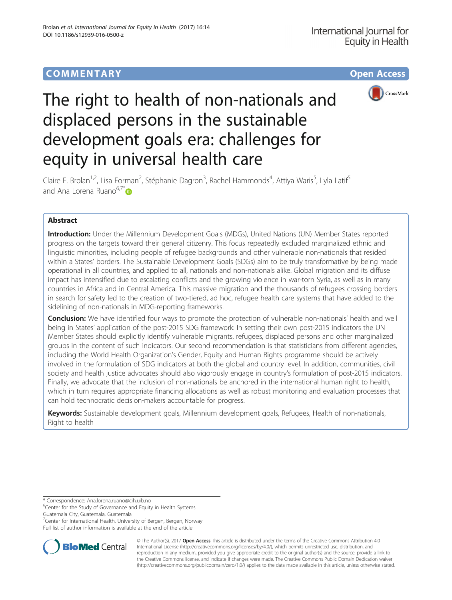

# The right to health of non-nationals and displaced persons in the sustainable development goals era: challenges for equity in universal health care

Claire E. Brolan<sup>1,2</sup>, Lisa Forman<sup>2</sup>, Stéphanie Dagron<sup>3</sup>, Rachel Hammonds<sup>4</sup>, Attiya Waris<sup>5</sup>, Lyla Latif<sup>5</sup> and Ana Lorena Ruano<sup>6,7[\\*](http://orcid.org/0000-0003-3913-4228)</sup>

# Abstract

Introduction: Under the Millennium Development Goals (MDGs), United Nations (UN) Member States reported progress on the targets toward their general citizenry. This focus repeatedly excluded marginalized ethnic and linguistic minorities, including people of refugee backgrounds and other vulnerable non-nationals that resided within a States' borders. The Sustainable Development Goals (SDGs) aim to be truly transformative by being made operational in all countries, and applied to all, nationals and non-nationals alike. Global migration and its diffuse impact has intensified due to escalating conflicts and the growing violence in war-torn Syria, as well as in many countries in Africa and in Central America. This massive migration and the thousands of refugees crossing borders in search for safety led to the creation of two-tiered, ad hoc, refugee health care systems that have added to the sidelining of non-nationals in MDG-reporting frameworks.

Conclusion: We have identified four ways to promote the protection of vulnerable non-nationals' health and well being in States' application of the post-2015 SDG framework: In setting their own post-2015 indicators the UN Member States should explicitly identify vulnerable migrants, refugees, displaced persons and other marginalized groups in the content of such indicators. Our second recommendation is that statisticians from different agencies, including the World Health Organization's Gender, Equity and Human Rights programme should be actively involved in the formulation of SDG indicators at both the global and country level. In addition, communities, civil society and health justice advocates should also vigorously engage in country's formulation of post-2015 indicators. Finally, we advocate that the inclusion of non-nationals be anchored in the international human right to health, which in turn requires appropriate financing allocations as well as robust monitoring and evaluation processes that can hold technocratic decision-makers accountable for progress.

Keywords: Sustainable development goals, Millennium development goals, Refugees, Health of non-nationals, Right to health

\* Correspondence: [Ana.lorena.ruano@cih.uib.no](mailto:Ana.lorena.ruano@cih.uib.no) <sup>6</sup>

<sup>7</sup> Center for International Health, University of Bergen, Bergen, Norway





© The Author(s). 2017 **Open Access** This article is distributed under the terms of the Creative Commons Attribution 4.0 International License [\(http://creativecommons.org/licenses/by/4.0/](http://creativecommons.org/licenses/by/4.0/)), which permits unrestricted use, distribution, and reproduction in any medium, provided you give appropriate credit to the original author(s) and the source, provide a link to the Creative Commons license, and indicate if changes were made. The Creative Commons Public Domain Dedication waiver [\(http://creativecommons.org/publicdomain/zero/1.0/](http://creativecommons.org/publicdomain/zero/1.0/)) applies to the data made available in this article, unless otherwise stated.

 $6$ Center for the Study of Governance and Equity in Health Systems Guatemala City, Guatemala, Guatemala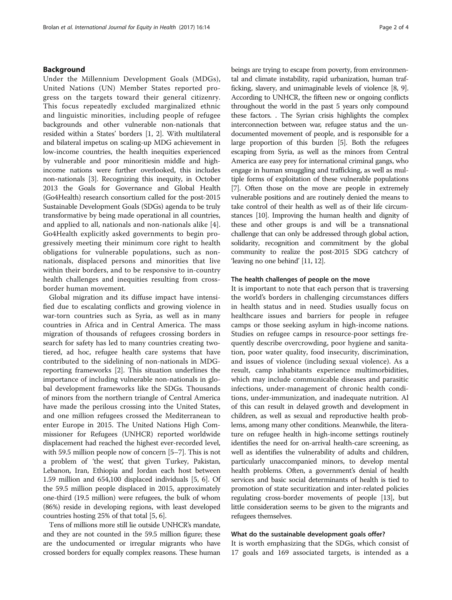## Background

Under the Millennium Development Goals (MDGs), United Nations (UN) Member States reported progress on the targets toward their general citizenry. This focus repeatedly excluded marginalized ethnic and linguistic minorities, including people of refugee backgrounds and other vulnerable non-nationals that resided within a States' borders [[1, 2\]](#page-3-0). With multilateral and bilateral impetus on scaling-up MDG achievement in low-income countries, the health inequities experienced by vulnerable and poor minoritiesin middle and highincome nations were further overlooked, this includes non-nationals [[3](#page-3-0)]. Recognizing this inequity, in October 2013 the Goals for Governance and Global Health (Go4Health) research consortium called for the post-2015 Sustainable Development Goals (SDGs) agenda to be truly transformative by being made operational in all countries, and applied to all, nationals and non-nationals alike [\[4](#page-3-0)]. Go4Health explicitly asked governments to begin progressively meeting their minimum core right to health obligations for vulnerable populations, such as nonnationals, displaced persons and minorities that live within their borders, and to be responsive to in-country health challenges and inequities resulting from crossborder human movement.

Global migration and its diffuse impact have intensified due to escalating conflicts and growing violence in war-torn countries such as Syria, as well as in many countries in Africa and in Central America. The mass migration of thousands of refugees crossing borders in search for safety has led to many countries creating twotiered, ad hoc, refugee health care systems that have contributed to the sidelining of non-nationals in MDGreporting frameworks [\[2](#page-3-0)]. This situation underlines the importance of including vulnerable non-nationals in global development frameworks like the SDGs. Thousands of minors from the northern triangle of Central America have made the perilous crossing into the United States, and one million refugees crossed the Mediterranean to enter Europe in 2015. The United Nations High Commissioner for Refugees (UNHCR) reported worldwide displacement had reached the highest ever-recorded level, with 59.5 million people now of concern [\[5](#page-3-0)–[7](#page-3-0)]. This is not a problem of 'the west', that given Turkey, Pakistan, Lebanon, Iran, Ethiopia and Jordan each host between 1.59 million and 654,100 displaced individuals [\[5, 6\]](#page-3-0). Of the 59.5 million people displaced in 2015, approximately one-third (19.5 million) were refugees, the bulk of whom (86%) reside in developing regions, with least developed countries hosting 25% of that total [\[5, 6](#page-3-0)].

Tens of millions more still lie outside UNHCR's mandate, and they are not counted in the 59.5 million figure; these are the undocumented or irregular migrants who have crossed borders for equally complex reasons. These human beings are trying to escape from poverty, from environmental and climate instability, rapid urbanization, human trafficking, slavery, and unimaginable levels of violence [\[8](#page-3-0), [9](#page-3-0)]. According to UNHCR, the fifteen new or ongoing conflicts throughout the world in the past 5 years only compound these factors. . The Syrian crisis highlights the complex interconnection between war, refugee status and the undocumented movement of people, and is responsible for a large proportion of this burden [\[5\]](#page-3-0). Both the refugees escaping from Syria, as well as the minors from Central America are easy prey for international criminal gangs, who engage in human smuggling and trafficking, as well as multiple forms of exploitation of these vulnerable populations [[7](#page-3-0)]. Often those on the move are people in extremely vulnerable positions and are routinely denied the means to take control of their health as well as of their life circumstances [\[10\]](#page-3-0). Improving the human health and dignity of these and other groups is and will be a transnational challenge that can only be addressed through global action, solidarity, recognition and commitment by the global community to realize the post-2015 SDG catchcry of 'leaving no one behind' [\[11, 12\]](#page-3-0).

### The health challenges of people on the move

It is important to note that each person that is traversing the world's borders in challenging circumstances differs in health status and in need. Studies usually focus on healthcare issues and barriers for people in refugee camps or those seeking asylum in high-income nations. Studies on refugee camps in resource-poor settings frequently describe overcrowding, poor hygiene and sanitation, poor water quality, food insecurity, discrimination, and issues of violence (including sexual violence). As a result, camp inhabitants experience multimorbidities, which may include communicable diseases and parasitic infections, under-management of chronic health conditions, under-immunization, and inadequate nutrition. Al of this can result in delayed growth and development in children, as well as sexual and reproductive health problems, among many other conditions. Meanwhile, the literature on refugee health in high-income settings routinely identifies the need for on-arrival health-care screening, as well as identifies the vulnerability of adults and children, particularly unaccompanied minors, to develop mental health problems. Often, a government's denial of health services and basic social determinants of health is tied to promotion of state securitization and inter-related policies regulating cross-border movements of people [\[13\]](#page-3-0), but little consideration seems to be given to the migrants and refugees themselves.

## What do the sustainable development goals offer?

It is worth emphasizing that the SDGs, which consist of 17 goals and 169 associated targets, is intended as a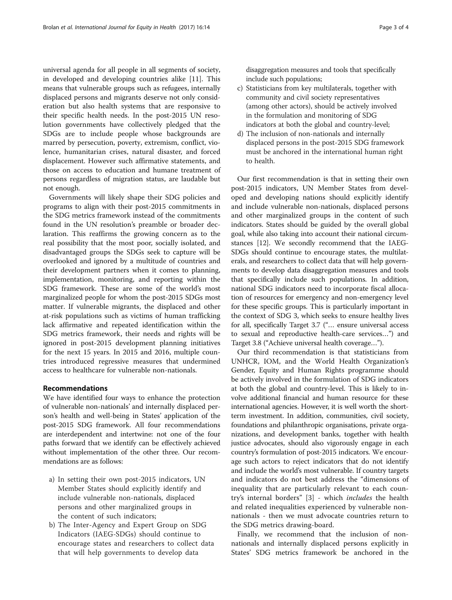universal agenda for all people in all segments of society, in developed and developing countries alike [[11](#page-3-0)]. This means that vulnerable groups such as refugees, internally displaced persons and migrants deserve not only consideration but also health systems that are responsive to their specific health needs. In the post-2015 UN resolution governments have collectively pledged that the SDGs are to include people whose backgrounds are marred by persecution, poverty, extremism, conflict, violence, humanitarian crises, natural disaster, and forced displacement. However such affirmative statements, and those on access to education and humane treatment of persons regardless of migration status, are laudable but not enough.

Governments will likely shape their SDG policies and programs to align with their post-2015 commitments in the SDG metrics framework instead of the commitments found in the UN resolution's preamble or broader declaration. This reaffirms the growing concern as to the real possibility that the most poor, socially isolated, and disadvantaged groups the SDGs seek to capture will be overlooked and ignored by a multitude of countries and their development partners when it comes to planning, implementation, monitoring, and reporting within the SDG framework. These are some of the world's most marginalized people for whom the post-2015 SDGs most matter. If vulnerable migrants, the displaced and other at-risk populations such as victims of human trafficking lack affirmative and repeated identification within the SDG metrics framework, their needs and rights will be ignored in post-2015 development planning initiatives for the next 15 years. In 2015 and 2016, multiple countries introduced regressive measures that undermined access to healthcare for vulnerable non-nationals.

## Recommendations

We have identified four ways to enhance the protection of vulnerable non-nationals' and internally displaced person's health and well-being in States' application of the post-2015 SDG framework. All four recommendations are interdependent and intertwine: not one of the four paths forward that we identify can be effectively achieved without implementation of the other three. Our recommendations are as follows:

- a) In setting their own post-2015 indicators, UN Member States should explicitly identify and include vulnerable non-nationals, displaced persons and other marginalized groups in the content of such indicators;
- b) The Inter-Agency and Expert Group on SDG Indicators (IAEG-SDGs) should continue to encourage states and researchers to collect data that will help governments to develop data

disaggregation measures and tools that specifically include such populations;

- c) Statisticians from key multilaterals, together with community and civil society representatives (among other actors), should be actively involved in the formulation and monitoring of SDG indicators at both the global and country-level;
- d) The inclusion of non-nationals and internally displaced persons in the post-2015 SDG framework must be anchored in the international human right to health.

Our first recommendation is that in setting their own post-2015 indicators, UN Member States from developed and developing nations should explicitly identify and include vulnerable non-nationals, displaced persons and other marginalized groups in the content of such indicators. States should be guided by the overall global goal, while also taking into account their national circumstances [[12](#page-3-0)]. We secondly recommend that the IAEG-SDGs should continue to encourage states, the multilaterals, and researchers to collect data that will help governments to develop data disaggregation measures and tools that specifically include such populations. In addition, national SDG indicators need to incorporate fiscal allocation of resources for emergency and non-emergency level for these specific groups. This is particularly important in the context of SDG 3, which seeks to ensure healthy lives for all, specifically Target 3.7 ("… ensure universal access to sexual and reproductive health-care services…") and Target 3.8 ("Achieve universal health coverage…").

Our third recommendation is that statisticians from UNHCR, IOM, and the World Health Organization's Gender, Equity and Human Rights programme should be actively involved in the formulation of SDG indicators at both the global and country-level. This is likely to involve additional financial and human resource for these international agencies. However, it is well worth the shortterm investment. In addition, communities, civil society, foundations and philanthropic organisations, private organizations, and development banks, together with health justice advocates, should also vigorously engage in each country's formulation of post-2015 indicators. We encourage such actors to reject indicators that do not identify and include the world's most vulnerable. If country targets and indicators do not best address the "dimensions of inequality that are particularly relevant to each country's internal borders" [\[3](#page-3-0)] - which includes the health and related inequalities experienced by vulnerable nonnationals - then we must advocate countries return to the SDG metrics drawing-board.

Finally, we recommend that the inclusion of nonnationals and internally displaced persons explicitly in States' SDG metrics framework be anchored in the